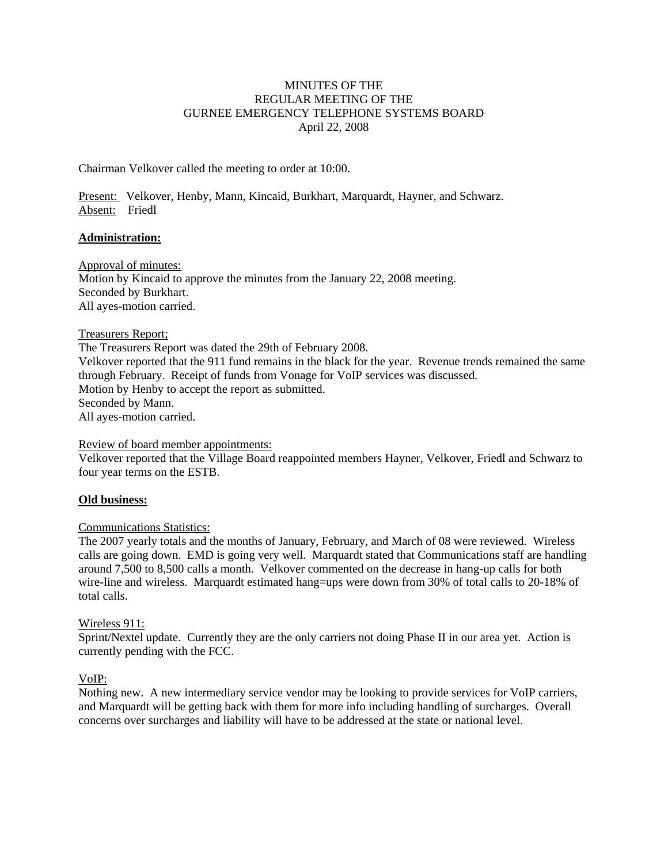# MINUTES OF THE REGULAR MEETING OF THE GURNEE EMERGENCY TELEPHONE SYSTEMS BOARD April 22, 2008

Chairman Velkover called the meeting to order at 10:00.

Present: Velkover, Henby, Mann, Kincaid, Burkhart, Marquardt, Hayner, and Schwarz. Absent: Friedl

## **Administration:**

Approval of minutes: Motion by Kincaid to approve the minutes from the January 22, 2008 meeting. Seconded by Burkhart. All ayes-motion carried.

## Treasurers Report;

The Treasurers Report was dated the 29th of February 2008. Velkover reported that the 911 fund remains in the black for the year. Revenue trends remained the same through February. Receipt of funds from Vonage for VoIP services was discussed. Motion by Henby to accept the report as submitted. Seconded by Mann. All ayes-motion carried.

## Review of board member appointments:

Velkover reported that the Village Board reappointed members Hayner, Velkover, Friedl and Schwarz to four year terms on the ESTB.

## **Old business:**

## Communications Statistics:

The 2007 yearly totals and the months of January, February, and March of 08 were reviewed. Wireless calls are going down. EMD is going very well. Marquardt stated that Communications staff are handling around 7,500 to 8,500 calls a month. Velkover commented on the decrease in hang-up calls for both wire-line and wireless. Marquardt estimated hang=ups were down from 30% of total calls to 20-18% of total calls.

## Wireless 911:

Sprint/Nextel update. Currently they are the only carriers not doing Phase II in our area yet. Action is currently pending with the FCC.

## VoIP:

Nothing new. A new intermediary service vendor may be looking to provide services for VoIP carriers, and Marquardt will be getting back with them for more info including handling of surcharges. Overall concerns over surcharges and liability will have to be addressed at the state or national level.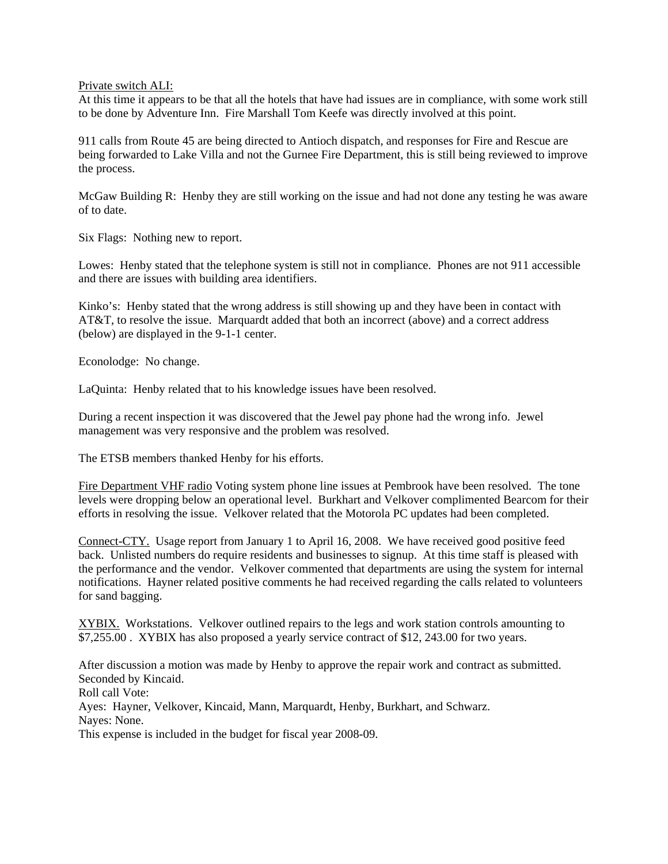Private switch ALI:

At this time it appears to be that all the hotels that have had issues are in compliance, with some work still to be done by Adventure Inn. Fire Marshall Tom Keefe was directly involved at this point.

911 calls from Route 45 are being directed to Antioch dispatch, and responses for Fire and Rescue are being forwarded to Lake Villa and not the Gurnee Fire Department, this is still being reviewed to improve the process.

McGaw Building R: Henby they are still working on the issue and had not done any testing he was aware of to date.

Six Flags: Nothing new to report.

Lowes: Henby stated that the telephone system is still not in compliance. Phones are not 911 accessible and there are issues with building area identifiers.

Kinko's: Henby stated that the wrong address is still showing up and they have been in contact with AT&T, to resolve the issue. Marquardt added that both an incorrect (above) and a correct address (below) are displayed in the 9-1-1 center.

Econolodge: No change.

LaQuinta: Henby related that to his knowledge issues have been resolved.

During a recent inspection it was discovered that the Jewel pay phone had the wrong info. Jewel management was very responsive and the problem was resolved.

The ETSB members thanked Henby for his efforts.

Fire Department VHF radio Voting system phone line issues at Pembrook have been resolved. The tone levels were dropping below an operational level. Burkhart and Velkover complimented Bearcom for their efforts in resolving the issue. Velkover related that the Motorola PC updates had been completed.

Connect-CTY. Usage report from January 1 to April 16, 2008. We have received good positive feed back. Unlisted numbers do require residents and businesses to signup. At this time staff is pleased with the performance and the vendor. Velkover commented that departments are using the system for internal notifications. Hayner related positive comments he had received regarding the calls related to volunteers for sand bagging.

XYBIX. Workstations. Velkover outlined repairs to the legs and work station controls amounting to \$7,255.00 . XYBIX has also proposed a yearly service contract of \$12, 243.00 for two years.

After discussion a motion was made by Henby to approve the repair work and contract as submitted. Seconded by Kincaid.

Roll call Vote:

Ayes: Hayner, Velkover, Kincaid, Mann, Marquardt, Henby, Burkhart, and Schwarz.

Nayes: None.

This expense is included in the budget for fiscal year 2008-09.